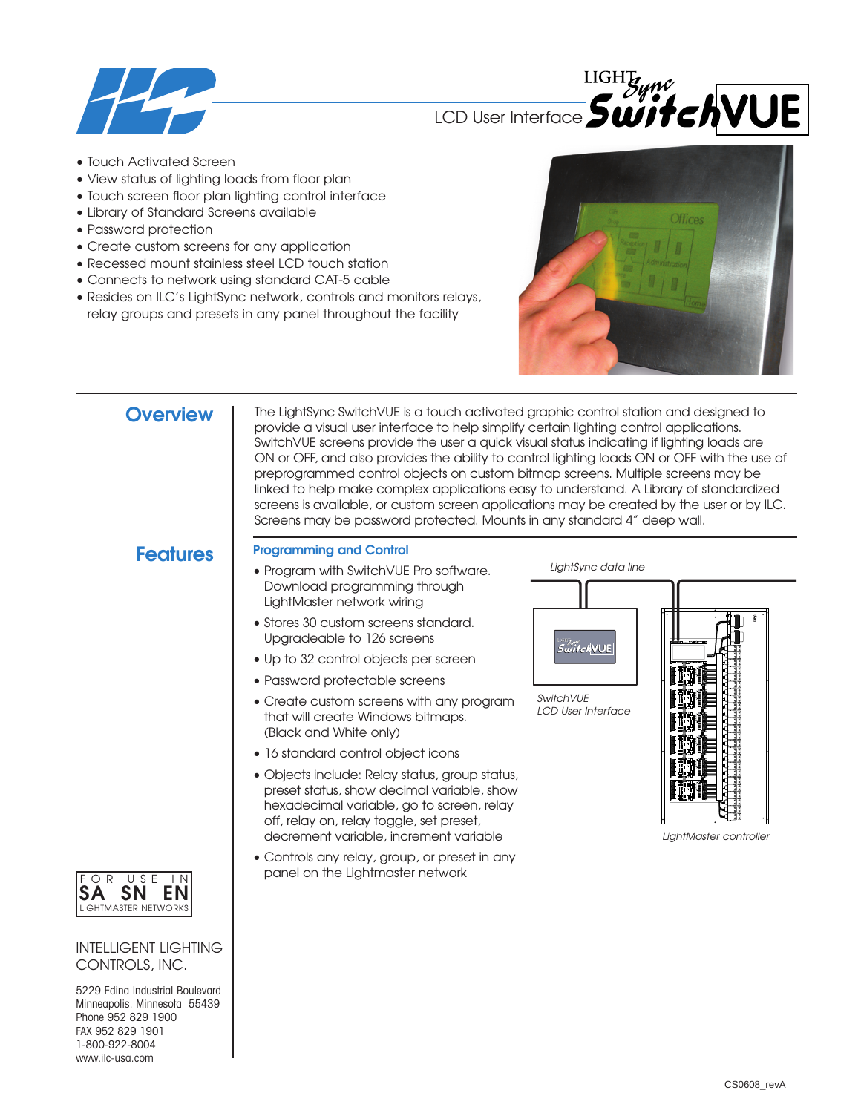

**LIGHT** LCD User Interface **SwitchVUE** 

- Touch Activated Screen
- View status of lighting loads from floor plan
- Touch screen floor plan lighting control interface
- Library of Standard Screens available
- Password protection
- Create custom screens for any application
- Recessed mount stainless steel LCD touch station
- Connects to network using standard CAT-5 cable
- Resides on ILC's LightSync network, controls and monitors relays, relay groups and presets in any panel throughout the facility



**Overview** | The LightSync SwitchVUE is a touch activated graphic control station and designed to provide a visual user interface to help simplify certain lighting control applications. SwitchVUE screens provide the user a quick visual status indicating if lighting loads are ON or OFF, and also provides the ability to control lighting loads ON or OFF with the use of preprogrammed control objects on custom bitmap screens. Multiple screens may be linked to help make complex applications easy to understand. A Library of standardized screens is available, or custom screen applications may be created by the user or by ILC. Screens may be password protected. Mounts in any standard 4" deep wall.

# **Features**

## **Programming and Control**

- Program with SwitchVUE Pro software. Download programming through LightMaster network wiring
- Stores 30 custom screens standard. Upgradeable to 126 screens
- Up to 32 control objects per screen
- Password protectable screens
- Create custom screens with any program that will create Windows bitmaps. (Black and White only)
- 16 standard control object icons
- Objects include: Relay status, group status, preset status, show decimal variable, show hexadecimal variable, go to screen, relay off, relay on, relay toggle, set preset, decrement variable, increment variable
- Controls any relay, group, or preset in any panel on the Lightmaster network

*LightSync data line*



*SwitchVUE LCD User Interface*



*LightMaster controller*



## INTELLIGENT LIGHTING CONTROLS, INC.

5229 Edina Industrial Boulevard Minneapolis. Minnesota 55439 Phone 952 829 1900 FAX 952 829 1901 1-800-922-8004 www.ilc-usa.com